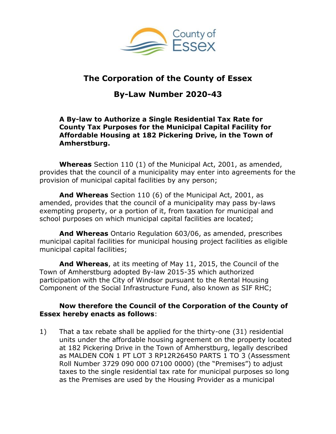

## **The Corporation of the County of Essex**

# **By-Law Number 2020-43**

#### **A By-law to Authorize a Single Residential Tax Rate for County Tax Purposes for the Municipal Capital Facility for Affordable Housing at 182 Pickering Drive, in the Town of Amherstburg.**

**Whereas** Section 110 (1) of the Municipal Act, 2001, as amended, provides that the council of a municipality may enter into agreements for the provision of municipal capital facilities by any person;

**And Whereas** Section 110 (6) of the Municipal Act, 2001, as amended, provides that the council of a municipality may pass by-laws exempting property, or a portion of it, from taxation for municipal and school purposes on which municipal capital facilities are located;

**And Whereas** Ontario Regulation 603/06, as amended, prescribes municipal capital facilities for municipal housing project facilities as eligible municipal capital facilities;

**And Whereas**, at its meeting of May 11, 2015, the Council of the Town of Amherstburg adopted By-law 2015-35 which authorized participation with the City of Windsor pursuant to the Rental Housing Component of the Social Infrastructure Fund, also known as SIF RHC;

#### **Now therefore the Council of the Corporation of the County of Essex hereby enacts as follows**:

1) That a tax rebate shall be applied for the thirty-one (31) residential units under the affordable housing agreement on the property located at 182 Pickering Drive in the Town of Amherstburg, legally described as MALDEN CON 1 PT LOT 3 RP12R26450 PARTS 1 TO 3 (Assessment Roll Number 3729 090 000 07100 0000) (the "Premises") to adjust taxes to the single residential tax rate for municipal purposes so long as the Premises are used by the Housing Provider as a municipal